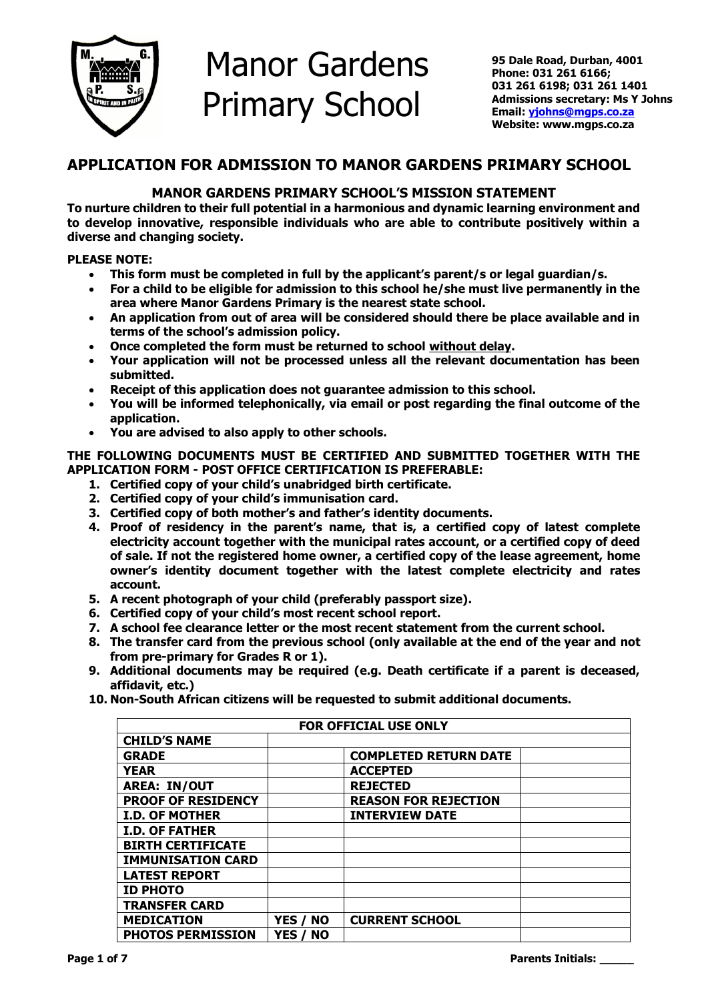

# Manor Gardens Primary School

 **95 Dale Road, Durban, 4001 Phone: 031 261 6166; 031 261 6198; 031 261 1401 Admissions secretary: Ms Y Johns Email[: yjohns@mgps.co.za](mailto:yjohns@mgps.co.za) Website: www.mgps.co.za**

# **APPLICATION FOR ADMISSION TO MANOR GARDENS PRIMARY SCHOOL**

# **MANOR GARDENS PRIMARY SCHOOL'S MISSION STATEMENT**

**To nurture children to their full potential in a harmonious and dynamic learning environment and to develop innovative, responsible individuals who are able to contribute positively within a diverse and changing society.**

# **PLEASE NOTE:**

- **This form must be completed in full by the applicant's parent/s or legal guardian/s.**
- **For a child to be eligible for admission to this school he/she must live permanently in the area where Manor Gardens Primary is the nearest state school.**
- **An application from out of area will be considered should there be place available and in terms of the school's admission policy.**
- **Once completed the form must be returned to school without delay.**
- **Your application will not be processed unless all the relevant documentation has been submitted.**
- **Receipt of this application does not guarantee admission to this school.**
- **You will be informed telephonically, via email or post regarding the final outcome of the application.**
- **You are advised to also apply to other schools.**

# **THE FOLLOWING DOCUMENTS MUST BE CERTIFIED AND SUBMITTED TOGETHER WITH THE APPLICATION FORM - POST OFFICE CERTIFICATION IS PREFERABLE:**

- **1. Certified copy of your child's unabridged birth certificate.**
- **2. Certified copy of your child's immunisation card.**
- **3. Certified copy of both mother's and father's identity documents.**
- **4. Proof of residency in the parent's name, that is, a certified copy of latest complete electricity account together with the municipal rates account, or a certified copy of deed of sale. If not the registered home owner, a certified copy of the lease agreement, home owner's identity document together with the latest complete electricity and rates account.**
- **5. A recent photograph of your child (preferably passport size).**
- **6. Certified copy of your child's most recent school report.**
- **7. A school fee clearance letter or the most recent statement from the current school.**
- **8. The transfer card from the previous school (only available at the end of the year and not from pre-primary for Grades R or 1).**
- **9. Additional documents may be required (e.g. Death certificate if a parent is deceased, affidavit, etc.)**
- **10. Non-South African citizens will be requested to submit additional documents.**

| <b>FOR OFFICIAL USE ONLY</b> |          |                              |  |  |  |  |  |
|------------------------------|----------|------------------------------|--|--|--|--|--|
| <b>CHILD'S NAME</b>          |          |                              |  |  |  |  |  |
| <b>GRADE</b>                 |          | <b>COMPLETED RETURN DATE</b> |  |  |  |  |  |
| <b>YEAR</b>                  |          | <b>ACCEPTED</b>              |  |  |  |  |  |
| <b>AREA: IN/OUT</b>          |          | <b>REJECTED</b>              |  |  |  |  |  |
| <b>PROOF OF RESIDENCY</b>    |          | <b>REASON FOR REJECTION</b>  |  |  |  |  |  |
| <b>I.D. OF MOTHER</b>        |          | <b>INTERVIEW DATE</b>        |  |  |  |  |  |
| <b>I.D. OF FATHER</b>        |          |                              |  |  |  |  |  |
| <b>BIRTH CERTIFICATE</b>     |          |                              |  |  |  |  |  |
| <b>IMMUNISATION CARD</b>     |          |                              |  |  |  |  |  |
| <b>LATEST REPORT</b>         |          |                              |  |  |  |  |  |
| <b>ID PHOTO</b>              |          |                              |  |  |  |  |  |
| <b>TRANSFER CARD</b>         |          |                              |  |  |  |  |  |
| <b>MEDICATION</b>            | YES / NO | <b>CURRENT SCHOOL</b>        |  |  |  |  |  |
| <b>PHOTOS PERMISSION</b>     | YES / NO |                              |  |  |  |  |  |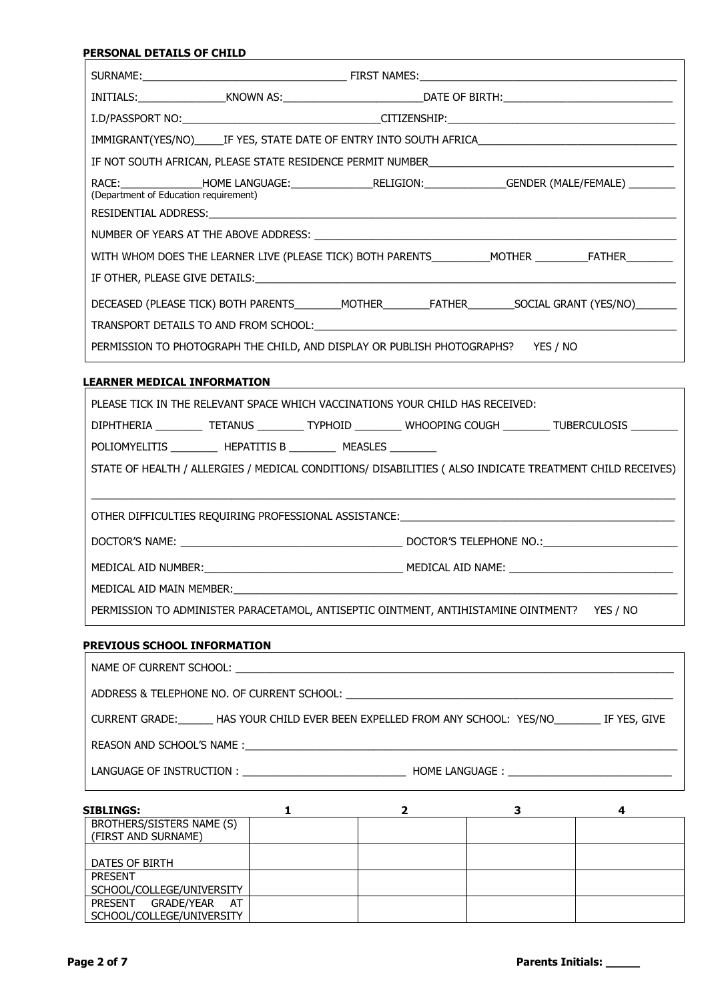|                                       |                                                                                  | IMMIGRANT(YES/NO)______IF YES, STATE DATE OF ENTRY INTO SOUTH AFRICA________________________________          |
|---------------------------------------|----------------------------------------------------------------------------------|---------------------------------------------------------------------------------------------------------------|
|                                       |                                                                                  |                                                                                                               |
| (Department of Education requirement) |                                                                                  | RACE:__________________HOME LANGUAGE:__________________RELIGION:_______________GENDER (MALE/FEMALE) _________ |
|                                       |                                                                                  |                                                                                                               |
|                                       |                                                                                  |                                                                                                               |
|                                       |                                                                                  | WITH WHOM DOES THE LEARNER LIVE (PLEASE TICK) BOTH PARENTS___________MOTHER ________________________          |
|                                       |                                                                                  |                                                                                                               |
|                                       |                                                                                  |                                                                                                               |
|                                       |                                                                                  |                                                                                                               |
|                                       | PERMISSION TO PHOTOGRAPH THE CHILD, AND DISPLAY OR PUBLISH PHOTOGRAPHS? YES / NO |                                                                                                               |

| <b>LEARNER MEDICAL INFORMATION</b> |  |  |  |  |  |  |  |  |  |  |  |  |  |  |  |
|------------------------------------|--|--|--|--|--|--|--|--|--|--|--|--|--|--|--|
|                                    |  |  |  |  |  |  |  |  |  |  |  |  |  |  |  |
|                                    |  |  |  |  |  |  |  |  |  |  |  |  |  |  |  |

| PLEASE TICK IN THE RELEVANT SPACE WHICH VACCINATIONS YOUR CHILD HAS RECEIVED:                            |  |  |                                                                                                          |  |  |  |  |
|----------------------------------------------------------------------------------------------------------|--|--|----------------------------------------------------------------------------------------------------------|--|--|--|--|
|                                                                                                          |  |  | DIPHTHERIA __________ TETANUS _________ TYPHOID _________ WHOOPING COUGH _________ TUBERCULOSIS ________ |  |  |  |  |
| POLIOMYELITIS _______________ HEPATITIS B ____________ MEASLES __________                                |  |  |                                                                                                          |  |  |  |  |
| STATE OF HEALTH / ALLERGIES / MEDICAL CONDITIONS/ DISABILITIES ( ALSO INDICATE TREATMENT CHILD RECEIVES) |  |  |                                                                                                          |  |  |  |  |
|                                                                                                          |  |  |                                                                                                          |  |  |  |  |
|                                                                                                          |  |  | OTHER DIFFICULTIES REQUIRING PROFESSIONAL ASSISTANCE: ___________________________                        |  |  |  |  |
|                                                                                                          |  |  |                                                                                                          |  |  |  |  |
|                                                                                                          |  |  |                                                                                                          |  |  |  |  |
| MEDICAL AID MAIN MEMBER: New York Street And Medical Aid Main Members (1989)                             |  |  |                                                                                                          |  |  |  |  |
| PERMISSION TO ADMINISTER PARACETAMOL, ANTISEPTIC OINTMENT, ANTIHISTAMINE OINTMENT? YES / NO              |  |  |                                                                                                          |  |  |  |  |

# **PREVIOUS SCHOOL INFORMATION**

NAME OF CURRENT SCHOOL: \_\_\_\_\_\_\_\_\_\_\_\_\_\_\_\_\_\_\_\_\_\_\_\_\_\_\_\_\_\_\_\_\_\_\_\_\_\_\_\_\_\_\_\_\_\_\_\_\_\_\_\_\_\_\_\_\_\_\_\_\_\_\_\_\_\_\_\_\_\_\_\_\_\_\_

ADDRESS & TELEPHONE NO. OF CURRENT SCHOOL: \_\_\_\_\_\_\_\_\_\_\_\_\_\_\_\_\_\_\_\_\_\_\_\_\_\_\_\_\_\_\_\_\_\_\_\_\_\_\_\_\_\_\_\_\_\_\_\_\_\_\_\_\_\_\_\_

CURRENT GRADE:\_\_\_\_\_\_ HAS YOUR CHILD EVER BEEN EXPELLED FROM ANY SCHOOL: YES/NO\_\_\_\_\_\_\_\_ IF YES, GIVE

REASON AND SCHOOL'S NAME :\_\_\_\_\_\_\_\_\_\_\_\_\_\_\_\_\_\_\_\_\_\_\_\_\_\_\_\_\_\_\_\_\_\_\_\_\_\_\_\_\_\_\_\_\_\_\_\_\_\_\_\_\_\_\_\_\_\_\_\_\_\_\_\_\_\_\_\_\_\_\_\_\_\_

LANGUAGE OF INSTRUCTION : \_\_\_\_\_\_\_\_\_\_\_\_\_\_\_\_\_\_\_\_\_\_\_\_\_\_\_\_ HOME LANGUAGE : \_\_\_\_\_\_\_\_\_\_\_\_\_\_\_\_\_\_\_\_\_\_\_\_\_\_\_\_

| <b>SIBLINGS:</b>                                 |  |  |
|--------------------------------------------------|--|--|
| BROTHERS/SISTERS NAME (S)<br>(FIRST AND SURNAME) |  |  |
| DATES OF BIRTH                                   |  |  |
| <b>PRESENT</b>                                   |  |  |
| SCHOOL/COLLEGE/UNIVERSITY                        |  |  |
| PRESENT GRADE/YEAR<br>AT                         |  |  |
| SCHOOL/COLLEGE/UNIVERSITY                        |  |  |

**Page 2 of 7 Parents Initials: \_\_\_\_\_**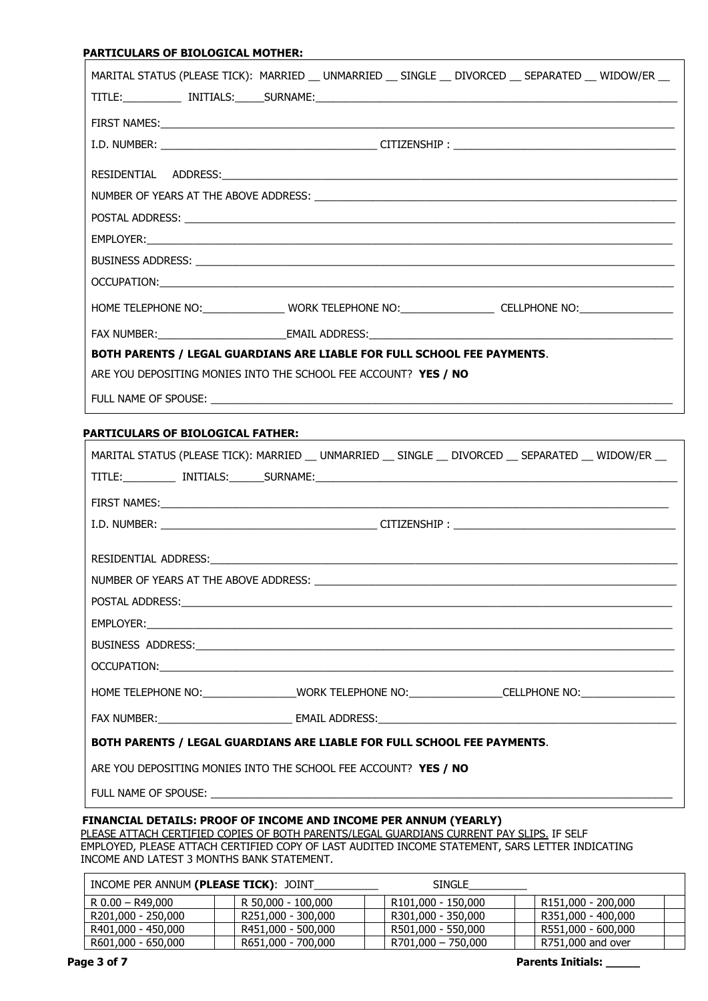### **PARTICULARS OF BIOLOGICAL MOTHER:**

|                                                                         |  | MARITAL STATUS (PLEASE TICK): MARRIED __ UNMARRIED __ SINGLE __ DIVORCED __ SEPARATED __ WIDOW/ER __          |  |  |  |  |
|-------------------------------------------------------------------------|--|---------------------------------------------------------------------------------------------------------------|--|--|--|--|
|                                                                         |  |                                                                                                               |  |  |  |  |
|                                                                         |  |                                                                                                               |  |  |  |  |
|                                                                         |  |                                                                                                               |  |  |  |  |
|                                                                         |  |                                                                                                               |  |  |  |  |
|                                                                         |  |                                                                                                               |  |  |  |  |
|                                                                         |  |                                                                                                               |  |  |  |  |
|                                                                         |  |                                                                                                               |  |  |  |  |
|                                                                         |  |                                                                                                               |  |  |  |  |
|                                                                         |  |                                                                                                               |  |  |  |  |
|                                                                         |  | HOME TELEPHONE NO: _________________WORK TELEPHONE NO: __________________CELLPHONE NO: ______________________ |  |  |  |  |
|                                                                         |  |                                                                                                               |  |  |  |  |
| BOTH PARENTS / LEGAL GUARDIANS ARE LIABLE FOR FULL SCHOOL FEE PAYMENTS. |  |                                                                                                               |  |  |  |  |
| ARE YOU DEPOSITING MONIES INTO THE SCHOOL FEE ACCOUNT? YES / NO         |  |                                                                                                               |  |  |  |  |
|                                                                         |  |                                                                                                               |  |  |  |  |

#### **PARTICULARS OF BIOLOGICAL FATHER:**

|                                                                         | MARITAL STATUS (PLEASE TICK): MARRIED __ UNMARRIED __ SINGLE __ DIVORCED __ SEPARATED __ WIDOW/ER __          |  |  |  |  |  |  |
|-------------------------------------------------------------------------|---------------------------------------------------------------------------------------------------------------|--|--|--|--|--|--|
|                                                                         |                                                                                                               |  |  |  |  |  |  |
|                                                                         |                                                                                                               |  |  |  |  |  |  |
|                                                                         |                                                                                                               |  |  |  |  |  |  |
|                                                                         |                                                                                                               |  |  |  |  |  |  |
|                                                                         |                                                                                                               |  |  |  |  |  |  |
|                                                                         |                                                                                                               |  |  |  |  |  |  |
|                                                                         |                                                                                                               |  |  |  |  |  |  |
|                                                                         |                                                                                                               |  |  |  |  |  |  |
|                                                                         |                                                                                                               |  |  |  |  |  |  |
|                                                                         | HOME TELEPHONE NO:_______________________WORK TELEPHONE NO:________________CELLPHONE NO:_____________________ |  |  |  |  |  |  |
|                                                                         |                                                                                                               |  |  |  |  |  |  |
| BOTH PARENTS / LEGAL GUARDIANS ARE LIABLE FOR FULL SCHOOL FEE PAYMENTS. |                                                                                                               |  |  |  |  |  |  |
| ARE YOU DEPOSITING MONIES INTO THE SCHOOL FEE ACCOUNT? YES / NO         |                                                                                                               |  |  |  |  |  |  |
|                                                                         |                                                                                                               |  |  |  |  |  |  |
| THIANCTAL DETATIC. DDOOF OF TNCOME AND TNCOME DED ANNUM (VEADLY)        |                                                                                                               |  |  |  |  |  |  |

#### **FINANCIAL DETAILS: PROOF OF INCOME AND INCOME PER ANNUM (YEARLY)**

 PLEASE ATTACH CERTIFIED COPIES OF BOTH PARENTS/LEGAL GUARDIANS CURRENT PAY SLIPS. IF SELF EMPLOYED, PLEASE ATTACH CERTIFIED COPY OF LAST AUDITED INCOME STATEMENT, SARS LETTER INDICATING INCOME AND LATEST 3 MONTHS BANK STATEMENT.

| INCOME PER ANNUM (PLEASE TICK): JOINT |                    | <b>SINGLE</b>      |                    |
|---------------------------------------|--------------------|--------------------|--------------------|
| $R$ 0.00 - R49.000                    | R 50,000 - 100,000 | R101,000 - 150,000 | R151,000 - 200,000 |
| R201,000 - 250,000                    | R251,000 - 300,000 | R301,000 - 350,000 | R351,000 - 400,000 |
| R401,000 - 450,000                    | R451,000 - 500,000 | R501,000 - 550,000 | R551,000 - 600,000 |
| R601,000 - 650,000                    | R651,000 - 700,000 | R701,000 - 750,000 | R751,000 and over  |

**Page 3 of 7 Parents Initials: \_\_\_\_\_**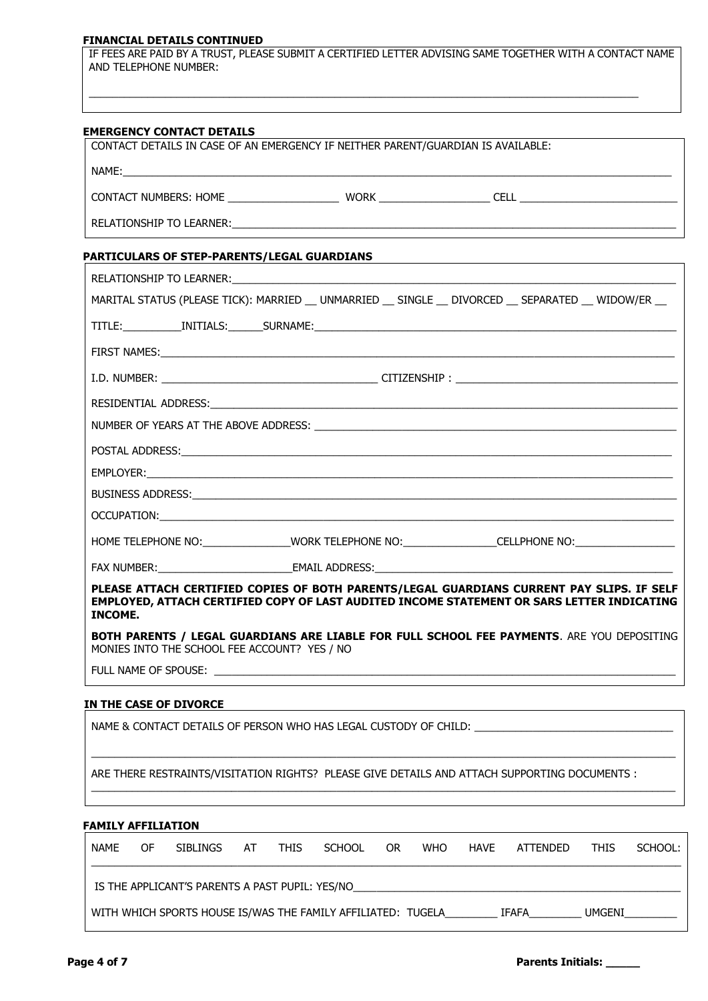#### **FINANCIAL DETAILS CONTINUED**

IF FEES ARE PAID BY A TRUST, PLEASE SUBMIT A CERTIFIED LETTER ADVISING SAME TOGETHER WITH A CONTACT NAME AND TELEPHONE NUMBER:

\_\_\_\_\_\_\_\_\_\_\_\_\_\_\_\_\_\_\_\_\_\_\_\_\_\_\_\_\_\_\_\_\_\_\_\_\_\_\_\_\_\_\_\_\_\_\_\_\_\_\_\_\_\_\_\_\_\_\_\_\_\_\_\_\_\_\_\_\_\_\_\_\_\_\_\_\_\_\_\_\_\_\_\_\_\_\_\_\_\_\_\_\_\_

| <b>PARTICULARS OF STEP-PARENTS/LEGAL GUARDIANS</b> | <u> 1989 - Johann Stein, mars an deutscher Stein und der Stein und der Stein und der Stein und der Stein und der</u> |
|----------------------------------------------------|----------------------------------------------------------------------------------------------------------------------|
|                                                    |                                                                                                                      |
|                                                    | MARITAL STATUS (PLEASE TICK): MARRIED __ UNMARRIED __ SINGLE __ DIVORCED __ SEPARATED __ WIDOW/ER __                 |
|                                                    |                                                                                                                      |
|                                                    |                                                                                                                      |
|                                                    |                                                                                                                      |
|                                                    |                                                                                                                      |
|                                                    |                                                                                                                      |
|                                                    |                                                                                                                      |
|                                                    | EMPLOYER: www.astronometer.com/www.astronometer.com/www.astronometer.com/www.astronometer.com/www.astronometer       |
|                                                    |                                                                                                                      |
|                                                    |                                                                                                                      |
|                                                    | HOME TELEPHONE NO: WORK TELEPHONE NO: CELLPHONE NO: CELLPHONE NO:                                                    |
|                                                    |                                                                                                                      |

**PLEASE ATTACH CERTIFIED COPIES OF BOTH PARENTS/LEGAL GUARDIANS CURRENT PAY SLIPS. IF SELF EMPLOYED, ATTACH CERTIFIED COPY OF LAST AUDITED INCOME STATEMENT OR SARS LETTER INDICATING INCOME.**

**BOTH PARENTS / LEGAL GUARDIANS ARE LIABLE FOR FULL SCHOOL FEE PAYMENTS**. ARE YOU DEPOSITING MONIES INTO THE SCHOOL FEE ACCOUNT? YES / NO

FULL NAME OF SPOUSE:

# **IN THE CASE OF DIVORCE**

NAME & CONTACT DETAILS OF PERSON WHO HAS LEGAL CUSTODY OF CHILD: \_ \_\_\_\_\_\_\_\_\_\_\_\_\_\_\_\_\_\_\_\_\_\_\_\_\_\_\_\_\_\_\_\_\_\_\_\_\_\_\_\_\_\_\_\_\_\_\_\_\_\_\_\_\_\_\_\_\_\_\_\_\_\_\_\_\_\_\_\_\_\_\_\_\_\_\_\_\_\_\_\_\_\_\_\_\_\_\_\_\_\_\_\_\_\_\_\_\_\_\_\_ ARE THERE RESTRAINTS/VISITATION RIGHTS? PLEASE GIVE DETAILS AND ATTACH SUPPORTING DOCUMENTS : \_\_\_\_\_\_\_\_\_\_\_\_\_\_\_\_\_\_\_\_\_\_\_\_\_\_\_\_\_\_\_\_\_\_\_\_\_\_\_\_\_\_\_\_\_\_\_\_\_\_\_\_\_\_\_\_\_\_\_\_\_\_\_\_\_\_\_\_\_\_\_\_\_\_\_\_\_\_\_\_\_\_\_\_\_\_\_\_\_\_\_\_\_\_\_\_\_\_\_\_

# **FAMILY AFFILIATION**

| <b>NAME</b> | OF. | SIBLINGS                                                     | AT | <b>THIS</b> | <b>SCHOOL</b> | 0R | <b>WHO</b> | <b>HAVE</b> | ATTENDED | <b>THIS</b> | SCHOOL: |
|-------------|-----|--------------------------------------------------------------|----|-------------|---------------|----|------------|-------------|----------|-------------|---------|
|             |     | IS THE APPLICANT'S PARENTS A PAST PUPIL: YES/NO              |    |             |               |    |            |             |          |             |         |
|             |     | WITH WHICH SPORTS HOUSE IS/WAS THE FAMILY AFFILIATED: TUGELA |    |             |               |    |            |             | IFAFA    | UMGENI      |         |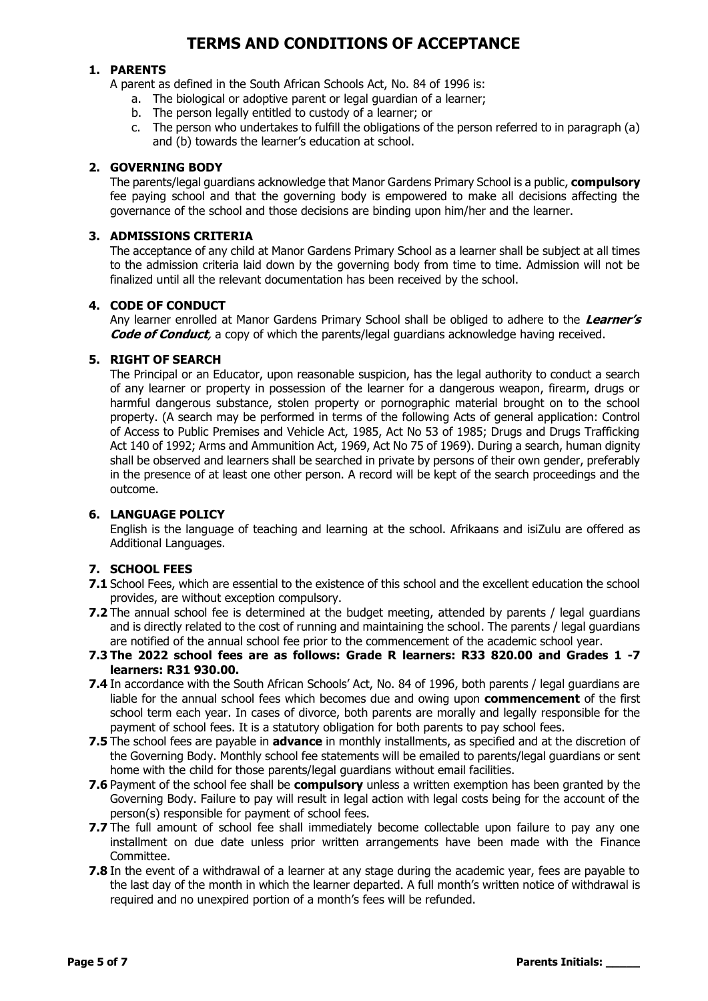# **TERMS AND CONDITIONS OF ACCEPTANCE**

# **1. PARENTS**

A parent as defined in the South African Schools Act, No. 84 of 1996 is:

- a. The biological or adoptive parent or legal guardian of a learner;
- b. The person legally entitled to custody of a learner; or
- c. The person who undertakes to fulfill the obligations of the person referred to in paragraph (a) and (b) towards the learner's education at school.

# **2. GOVERNING BODY**

The parents/legal guardians acknowledge that Manor Gardens Primary School is a public, **compulsory**  fee paying school and that the governing body is empowered to make all decisions affecting the governance of the school and those decisions are binding upon him/her and the learner.

# **3. ADMISSIONS CRITERIA**

The acceptance of any child at Manor Gardens Primary School as a learner shall be subject at all times to the admission criteria laid down by the governing body from time to time. Admission will not be finalized until all the relevant documentation has been received by the school.

# **4. CODE OF CONDUCT**

Any learner enrolled at Manor Gardens Primary School shall be obliged to adhere to the **Learner's Code of Conduct**, a copy of which the parents/legal guardians acknowledge having received.

# **5. RIGHT OF SEARCH**

The Principal or an Educator, upon reasonable suspicion, has the legal authority to conduct a search of any learner or property in possession of the learner for a dangerous weapon, firearm, drugs or harmful dangerous substance, stolen property or pornographic material brought on to the school property. (A search may be performed in terms of the following Acts of general application: Control of Access to Public Premises and Vehicle Act, 1985, Act No 53 of 1985; Drugs and Drugs Trafficking Act 140 of 1992; Arms and Ammunition Act, 1969, Act No 75 of 1969). During a search, human dignity shall be observed and learners shall be searched in private by persons of their own gender, preferably in the presence of at least one other person. A record will be kept of the search proceedings and the outcome.

# **6. LANGUAGE POLICY**

English is the language of teaching and learning at the school. Afrikaans and isiZulu are offered as Additional Languages.

# **7. SCHOOL FEES**

- **7.1** School Fees, which are essential to the existence of this school and the excellent education the school provides, are without exception compulsory.
- **7.2** The annual school fee is determined at the budget meeting, attended by parents / legal guardians and is directly related to the cost of running and maintaining the school. The parents / legal guardians are notified of the annual school fee prior to the commencement of the academic school year.
- **7.3 The 2022 school fees are as follows: Grade R learners: R33 820.00 and Grades 1 -7 learners: R31 930.00.**
- **7.4** In accordance with the South African Schools' Act, No. 84 of 1996, both parents / legal guardians are liable for the annual school fees which becomes due and owing upon **commencement** of the first school term each year. In cases of divorce, both parents are morally and legally responsible for the payment of school fees. It is a statutory obligation for both parents to pay school fees.
- **7.5** The school fees are payable in **advance** in monthly installments, as specified and at the discretion of the Governing Body. Monthly school fee statements will be emailed to parents/legal guardians or sent home with the child for those parents/legal guardians without email facilities.
- **7.6** Payment of the school fee shall be **compulsory** unless a written exemption has been granted by the Governing Body. Failure to pay will result in legal action with legal costs being for the account of the person(s) responsible for payment of school fees.
- **7.7** The full amount of school fee shall immediately become collectable upon failure to pay any one installment on due date unless prior written arrangements have been made with the Finance Committee.
- **7.8** In the event of a withdrawal of a learner at any stage during the academic year, fees are payable to the last day of the month in which the learner departed. A full month's written notice of withdrawal is required and no unexpired portion of a month's fees will be refunded.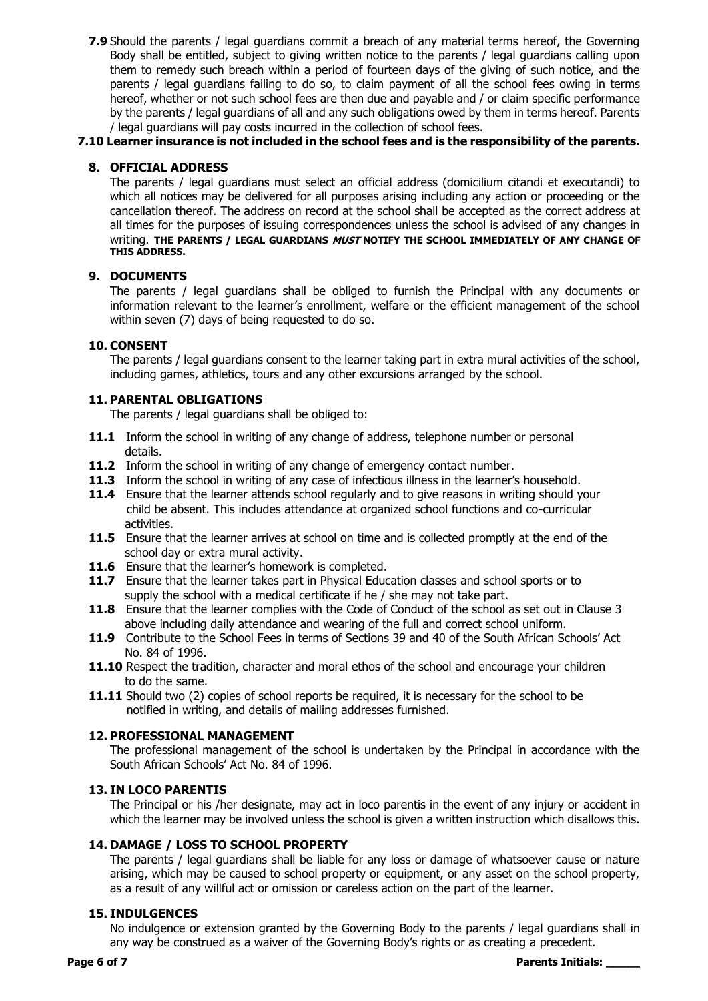**7.9** Should the parents / legal guardians commit a breach of any material terms hereof, the Governing Body shall be entitled, subject to giving written notice to the parents / legal guardians calling upon them to remedy such breach within a period of fourteen days of the giving of such notice, and the parents / legal guardians failing to do so, to claim payment of all the school fees owing in terms hereof, whether or not such school fees are then due and payable and / or claim specific performance by the parents / legal guardians of all and any such obligations owed by them in terms hereof. Parents / legal guardians will pay costs incurred in the collection of school fees.

# **7.10 Learner insurance is not included in the school fees and is the responsibility of the parents.**

# **8. OFFICIAL ADDRESS**

The parents / legal guardians must select an official address (domicilium citandi et executandi) to which all notices may be delivered for all purposes arising including any action or proceeding or the cancellation thereof. The address on record at the school shall be accepted as the correct address at all times for the purposes of issuing correspondences unless the school is advised of any changes in writing. **THE PARENTS / LEGAL GUARDIANS MUST NOTIFY THE SCHOOL IMMEDIATELY OF ANY CHANGE OF THIS ADDRESS.**

# **9. DOCUMENTS**

The parents / legal guardians shall be obliged to furnish the Principal with any documents or information relevant to the learner's enrollment, welfare or the efficient management of the school within seven (7) days of being requested to do so.

# **10. CONSENT**

The parents / legal guardians consent to the learner taking part in extra mural activities of the school, including games, athletics, tours and any other excursions arranged by the school.

# **11. PARENTAL OBLIGATIONS**

The parents / legal guardians shall be obliged to:

- **11.1** Inform the school in writing of any change of address, telephone number or personal details.
- **11.2** Inform the school in writing of any change of emergency contact number.
- **11.3** Inform the school in writing of any case of infectious illness in the learner's household.
- **11.4** Ensure that the learner attends school regularly and to give reasons in writing should your child be absent. This includes attendance at organized school functions and co-curricular activities.
- **11.5** Ensure that the learner arrives at school on time and is collected promptly at the end of the school day or extra mural activity.
- **11.6** Ensure that the learner's homework is completed.
- 11.7 Ensure that the learner takes part in Physical Education classes and school sports or to supply the school with a medical certificate if he / she may not take part.
- **11.8** Ensure that the learner complies with the Code of Conduct of the school as set out in Clause 3 above including daily attendance and wearing of the full and correct school uniform.
- **11.9** Contribute to the School Fees in terms of Sections 39 and 40 of the South African Schools' Act No. 84 of 1996.
- **11.10** Respect the tradition, character and moral ethos of the school and encourage your children to do the same.
- 11.11 Should two (2) copies of school reports be required, it is necessary for the school to be notified in writing, and details of mailing addresses furnished.

# **12. PROFESSIONAL MANAGEMENT**

The professional management of the school is undertaken by the Principal in accordance with the South African Schools' Act No. 84 of 1996.

# **13. IN LOCO PARENTIS**

The Principal or his /her designate, may act in loco parentis in the event of any injury or accident in which the learner may be involved unless the school is given a written instruction which disallows this.

# **14. DAMAGE / LOSS TO SCHOOL PROPERTY**

The parents / legal guardians shall be liable for any loss or damage of whatsoever cause or nature arising, which may be caused to school property or equipment, or any asset on the school property, as a result of any willful act or omission or careless action on the part of the learner.

# **15. INDULGENCES**

No indulgence or extension granted by the Governing Body to the parents / legal guardians shall in any way be construed as a waiver of the Governing Body's rights or as creating a precedent.